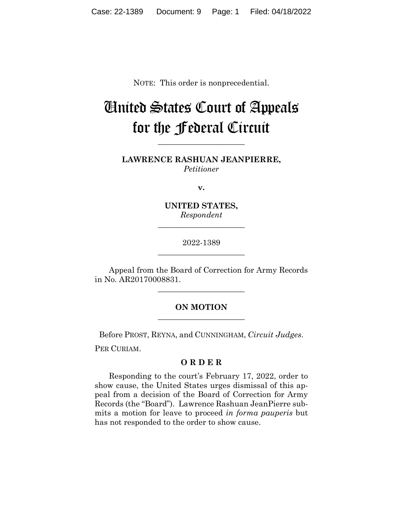NOTE: This order is nonprecedential.

## United States Court of Appeals for the Federal Circuit

**LAWRENCE RASHUAN JEANPIERRE,** *Petitioner*

**\_\_\_\_\_\_\_\_\_\_\_\_\_\_\_\_\_\_\_\_\_\_**

**v.**

**UNITED STATES,** *Respondent*

**\_\_\_\_\_\_\_\_\_\_\_\_\_\_\_\_\_\_\_\_\_\_**

2022-1389 **\_\_\_\_\_\_\_\_\_\_\_\_\_\_\_\_\_\_\_\_\_\_**

Appeal from the Board of Correction for Army Records in No. AR20170008831.

**\_\_\_\_\_\_\_\_\_\_\_\_\_\_\_\_\_\_\_\_\_\_**

## **ON MOTION \_\_\_\_\_\_\_\_\_\_\_\_\_\_\_\_\_\_\_\_\_\_**

Before PROST, REYNA, and CUNNINGHAM, *Circuit Judges*.

PER CURIAM.

## **O R D E R**

Responding to the court's February 17, 2022, order to show cause, the United States urges dismissal of this appeal from a decision of the Board of Correction for Army Records (the "Board"). Lawrence Rashuan JeanPierre submits a motion for leave to proceed *in forma pauperis* but has not responded to the order to show cause.